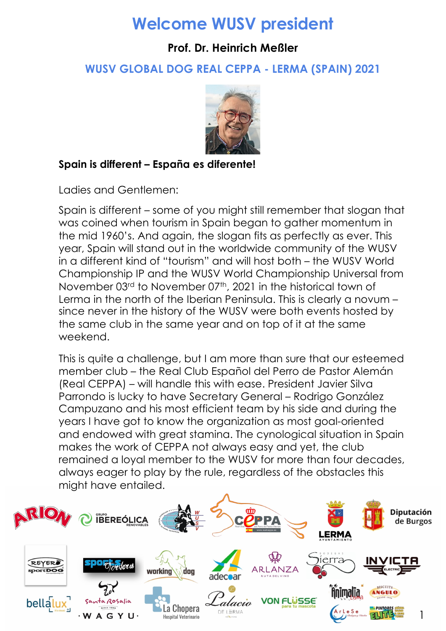# **Welcome WUSV president**

### **Prof. Dr. Heinrich Meßler**

**WUSV GLOBAL DOG REAL CEPPA - LERMA (SPAIN) 2021**



#### **Spain is different – España es diferente!**

Ladies and Gentlemen:

Spain is different – some of you might still remember that slogan that was coined when tourism in Spain began to gather momentum in the mid 1960's. And again, the slogan fits as perfectly as ever. This year, Spain will stand out in the worldwide community of the WUSV in a different kind of "tourism" and will host both – the WUSV World Championship IP and the WUSV World Championship Universal from November 03<sup>rd</sup> to November 07<sup>th</sup>, 2021 in the historical town of Lerma in the north of the Iberian Peninsula. This is clearly a novum – since never in the history of the WUSV were both events hosted by the same club in the same year and on top of it at the same weekend.

This is quite a challenge, but I am more than sure that our esteemed member club – the Real Club Español del Perro de Pastor Alemán (Real CEPPA) – will handle this with ease. President Javier Silva Parrondo is lucky to have Secretary General – Rodrigo González Campuzano and his most efficient team by his side and during the years I have got to know the organization as most goal-oriented and endowed with great stamina. The cynological situation in Spain makes the work of CEPPA not always easy and yet, the club remained a loyal member to the WUSV for more than four decades, always eager to play by the rule, regardless of the obstacles this might have entailed.